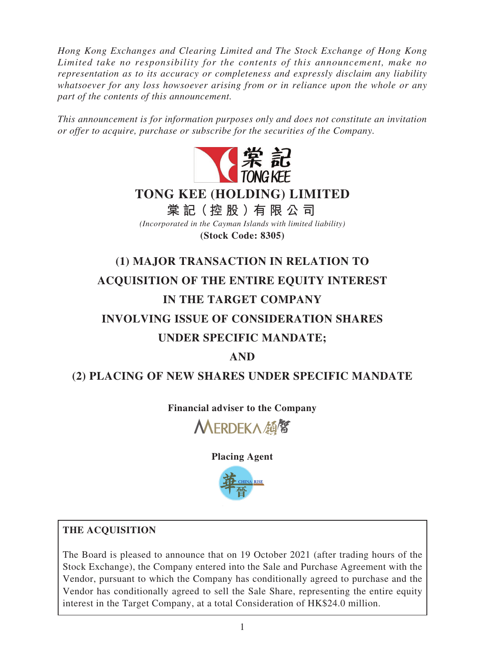*Hong Kong Exchanges and Clearing Limited and The Stock Exchange of Hong Kong Limited take no responsibility for the contents of this announcement, make no representation as to its accuracy or completeness and expressly disclaim any liability whatsoever for any loss howsoever arising from or in reliance upon the whole or any part of the contents of this announcement.*

*This announcement is for information purposes only and does not constitute an invitation or offer to acquire, purchase or subscribe for the securities of the Company.*



*(Incorporated in the Cayman Islands with limited liability)* **(Stock Code: 8305)**

# **(1) MAJOR TRANSACTION IN RELATION TO ACQUISITION OF THE ENTIRE EQUITY INTEREST IN THE TARGET COMPANY INVOLVING ISSUE OF CONSIDERATION SHARES UNDER SPECIFIC MANDATE;**

# **AND**

# **(2) PLACING OF NEW SHARES UNDER SPECIFIC MANDATE**

**Financial adviser to the Company**

MERDEKA顔留

**Placing Agent**



## **THE ACQUISITION**

The Board is pleased to announce that on 19 October 2021 (after trading hours of the Stock Exchange), the Company entered into the Sale and Purchase Agreement with the Vendor, pursuant to which the Company has conditionally agreed to purchase and the Vendor has conditionally agreed to sell the Sale Share, representing the entire equity interest in the Target Company, at a total Consideration of HK\$24.0 million.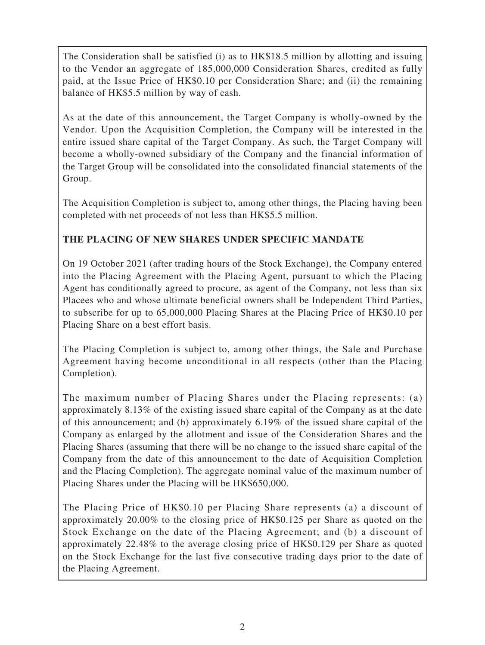The Consideration shall be satisfied (i) as to HK\$18.5 million by allotting and issuing to the Vendor an aggregate of 185,000,000 Consideration Shares, credited as fully paid, at the Issue Price of HK\$0.10 per Consideration Share; and (ii) the remaining balance of HK\$5.5 million by way of cash.

As at the date of this announcement, the Target Company is wholly-owned by the Vendor. Upon the Acquisition Completion, the Company will be interested in the entire issued share capital of the Target Company. As such, the Target Company will become a wholly-owned subsidiary of the Company and the financial information of the Target Group will be consolidated into the consolidated financial statements of the Group.

The Acquisition Completion is subject to, among other things, the Placing having been completed with net proceeds of not less than HK\$5.5 million.

## **THE PLACING OF NEW SHARES UNDER SPECIFIC MANDATE**

On 19 October 2021 (after trading hours of the Stock Exchange), the Company entered into the Placing Agreement with the Placing Agent, pursuant to which the Placing Agent has conditionally agreed to procure, as agent of the Company, not less than six Placees who and whose ultimate beneficial owners shall be Independent Third Parties, to subscribe for up to 65,000,000 Placing Shares at the Placing Price of HK\$0.10 per Placing Share on a best effort basis.

The Placing Completion is subject to, among other things, the Sale and Purchase Agreement having become unconditional in all respects (other than the Placing Completion).

The maximum number of Placing Shares under the Placing represents: (a) approximately 8.13% of the existing issued share capital of the Company as at the date of this announcement; and (b) approximately 6.19% of the issued share capital of the Company as enlarged by the allotment and issue of the Consideration Shares and the Placing Shares (assuming that there will be no change to the issued share capital of the Company from the date of this announcement to the date of Acquisition Completion and the Placing Completion). The aggregate nominal value of the maximum number of Placing Shares under the Placing will be HK\$650,000.

The Placing Price of HK\$0.10 per Placing Share represents (a) a discount of approximately 20.00% to the closing price of HK\$0.125 per Share as quoted on the Stock Exchange on the date of the Placing Agreement; and (b) a discount of approximately 22.48% to the average closing price of HK\$0.129 per Share as quoted on the Stock Exchange for the last five consecutive trading days prior to the date of the Placing Agreement.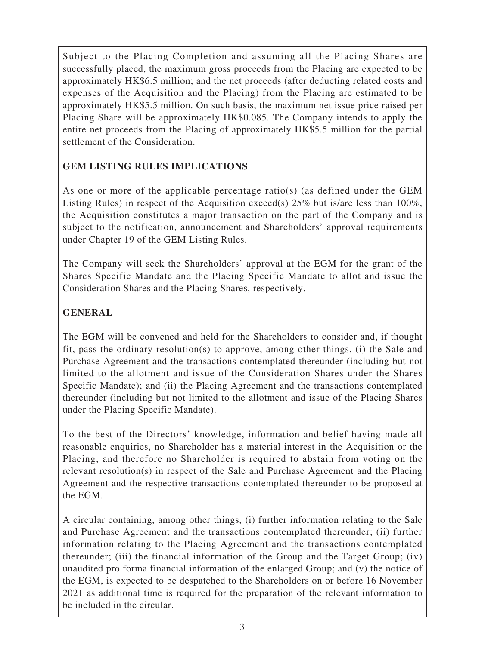Subject to the Placing Completion and assuming all the Placing Shares are successfully placed, the maximum gross proceeds from the Placing are expected to be approximately HK\$6.5 million; and the net proceeds (after deducting related costs and expenses of the Acquisition and the Placing) from the Placing are estimated to be approximately HK\$5.5 million. On such basis, the maximum net issue price raised per Placing Share will be approximately HK\$0.085. The Company intends to apply the entire net proceeds from the Placing of approximately HK\$5.5 million for the partial settlement of the Consideration.

## **GEM LISTING RULES IMPLICATIONS**

As one or more of the applicable percentage ratio(s) (as defined under the GEM Listing Rules) in respect of the Acquisition exceed(s) 25% but is/are less than 100%, the Acquisition constitutes a major transaction on the part of the Company and is subject to the notification, announcement and Shareholders' approval requirements under Chapter 19 of the GEM Listing Rules.

The Company will seek the Shareholders' approval at the EGM for the grant of the Shares Specific Mandate and the Placing Specific Mandate to allot and issue the Consideration Shares and the Placing Shares, respectively.

## **GENERAL**

The EGM will be convened and held for the Shareholders to consider and, if thought fit, pass the ordinary resolution(s) to approve, among other things, (i) the Sale and Purchase Agreement and the transactions contemplated thereunder (including but not limited to the allotment and issue of the Consideration Shares under the Shares Specific Mandate); and (ii) the Placing Agreement and the transactions contemplated thereunder (including but not limited to the allotment and issue of the Placing Shares under the Placing Specific Mandate).

To the best of the Directors' knowledge, information and belief having made all reasonable enquiries, no Shareholder has a material interest in the Acquisition or the Placing, and therefore no Shareholder is required to abstain from voting on the relevant resolution(s) in respect of the Sale and Purchase Agreement and the Placing Agreement and the respective transactions contemplated thereunder to be proposed at the EGM.

A circular containing, among other things, (i) further information relating to the Sale and Purchase Agreement and the transactions contemplated thereunder; (ii) further information relating to the Placing Agreement and the transactions contemplated thereunder; (iii) the financial information of the Group and the Target Group; (iv) unaudited pro forma financial information of the enlarged Group; and (v) the notice of the EGM, is expected to be despatched to the Shareholders on or before 16 November 2021 as additional time is required for the preparation of the relevant information to be included in the circular.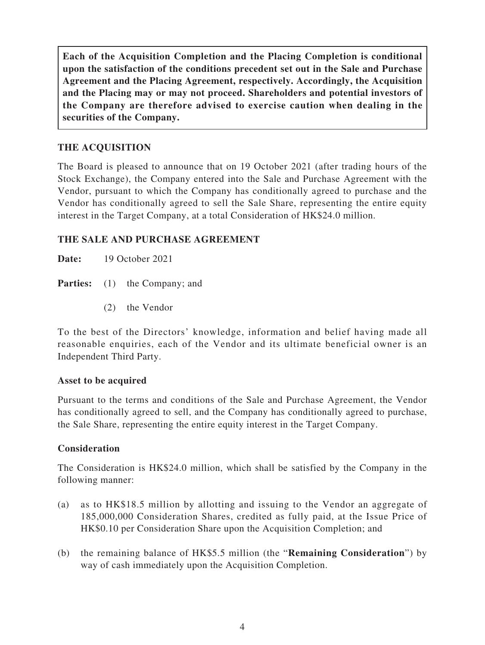**Each of the Acquisition Completion and the Placing Completion is conditional upon the satisfaction of the conditions precedent set out in the Sale and Purchase Agreement and the Placing Agreement, respectively. Accordingly, the Acquisition and the Placing may or may not proceed. Shareholders and potential investors of the Company are therefore advised to exercise caution when dealing in the securities of the Company.**

## **THE ACQUISITION**

The Board is pleased to announce that on 19 October 2021 (after trading hours of the Stock Exchange), the Company entered into the Sale and Purchase Agreement with the Vendor, pursuant to which the Company has conditionally agreed to purchase and the Vendor has conditionally agreed to sell the Sale Share, representing the entire equity interest in the Target Company, at a total Consideration of HK\$24.0 million.

## **THE SALE AND PURCHASE AGREEMENT**

**Date:** 19 October 2021

**Parties:** (1) the Company; and

(2) the Vendor

To the best of the Directors' knowledge, information and belief having made all reasonable enquiries, each of the Vendor and its ultimate beneficial owner is an Independent Third Party.

## **Asset to be acquired**

Pursuant to the terms and conditions of the Sale and Purchase Agreement, the Vendor has conditionally agreed to sell, and the Company has conditionally agreed to purchase, the Sale Share, representing the entire equity interest in the Target Company.

## **Consideration**

The Consideration is HK\$24.0 million, which shall be satisfied by the Company in the following manner:

- (a) as to HK\$18.5 million by allotting and issuing to the Vendor an aggregate of 185,000,000 Consideration Shares, credited as fully paid, at the Issue Price of HK\$0.10 per Consideration Share upon the Acquisition Completion; and
- (b) the remaining balance of HK\$5.5 million (the "**Remaining Consideration**") by way of cash immediately upon the Acquisition Completion.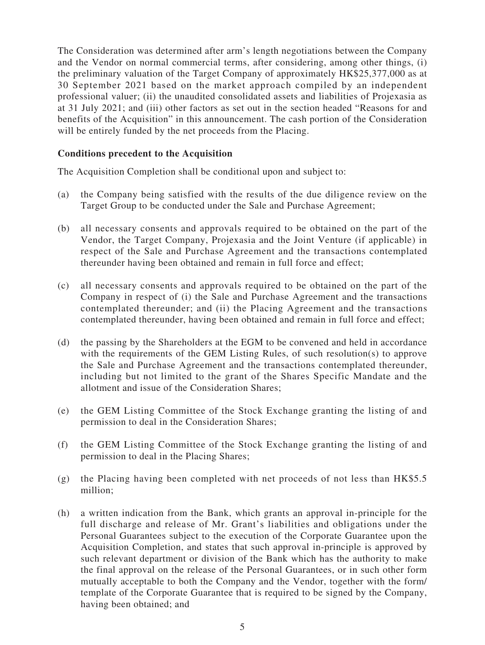The Consideration was determined after arm's length negotiations between the Company and the Vendor on normal commercial terms, after considering, among other things, (i) the preliminary valuation of the Target Company of approximately HK\$25,377,000 as at 30 September 2021 based on the market approach compiled by an independent professional valuer; (ii) the unaudited consolidated assets and liabilities of Projexasia as at 31 July 2021; and (iii) other factors as set out in the section headed "Reasons for and benefits of the Acquisition" in this announcement. The cash portion of the Consideration will be entirely funded by the net proceeds from the Placing.

#### **Conditions precedent to the Acquisition**

The Acquisition Completion shall be conditional upon and subject to:

- (a) the Company being satisfied with the results of the due diligence review on the Target Group to be conducted under the Sale and Purchase Agreement;
- (b) all necessary consents and approvals required to be obtained on the part of the Vendor, the Target Company, Projexasia and the Joint Venture (if applicable) in respect of the Sale and Purchase Agreement and the transactions contemplated thereunder having been obtained and remain in full force and effect;
- (c) all necessary consents and approvals required to be obtained on the part of the Company in respect of (i) the Sale and Purchase Agreement and the transactions contemplated thereunder; and (ii) the Placing Agreement and the transactions contemplated thereunder, having been obtained and remain in full force and effect;
- (d) the passing by the Shareholders at the EGM to be convened and held in accordance with the requirements of the GEM Listing Rules, of such resolution(s) to approve the Sale and Purchase Agreement and the transactions contemplated thereunder, including but not limited to the grant of the Shares Specific Mandate and the allotment and issue of the Consideration Shares;
- (e) the GEM Listing Committee of the Stock Exchange granting the listing of and permission to deal in the Consideration Shares;
- (f) the GEM Listing Committee of the Stock Exchange granting the listing of and permission to deal in the Placing Shares;
- (g) the Placing having been completed with net proceeds of not less than HK\$5.5 million;
- (h) a written indication from the Bank, which grants an approval in-principle for the full discharge and release of Mr. Grant's liabilities and obligations under the Personal Guarantees subject to the execution of the Corporate Guarantee upon the Acquisition Completion, and states that such approval in-principle is approved by such relevant department or division of the Bank which has the authority to make the final approval on the release of the Personal Guarantees, or in such other form mutually acceptable to both the Company and the Vendor, together with the form/ template of the Corporate Guarantee that is required to be signed by the Company, having been obtained; and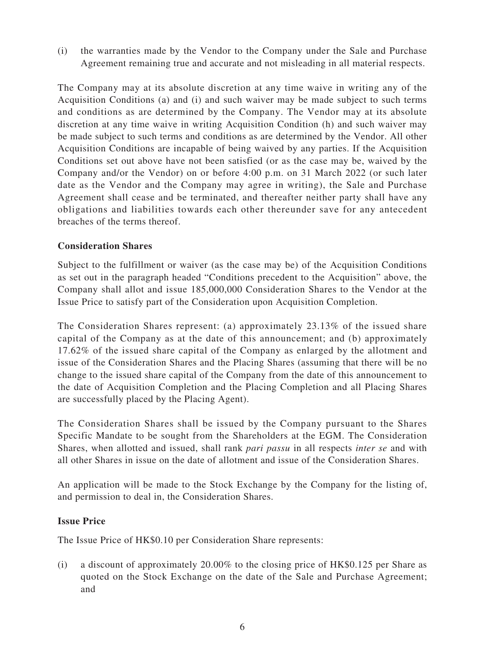(i) the warranties made by the Vendor to the Company under the Sale and Purchase Agreement remaining true and accurate and not misleading in all material respects.

The Company may at its absolute discretion at any time waive in writing any of the Acquisition Conditions (a) and (i) and such waiver may be made subject to such terms and conditions as are determined by the Company. The Vendor may at its absolute discretion at any time waive in writing Acquisition Condition (h) and such waiver may be made subject to such terms and conditions as are determined by the Vendor. All other Acquisition Conditions are incapable of being waived by any parties. If the Acquisition Conditions set out above have not been satisfied (or as the case may be, waived by the Company and/or the Vendor) on or before 4:00 p.m. on 31 March 2022 (or such later date as the Vendor and the Company may agree in writing), the Sale and Purchase Agreement shall cease and be terminated, and thereafter neither party shall have any obligations and liabilities towards each other thereunder save for any antecedent breaches of the terms thereof.

## **Consideration Shares**

Subject to the fulfillment or waiver (as the case may be) of the Acquisition Conditions as set out in the paragraph headed "Conditions precedent to the Acquisition" above, the Company shall allot and issue 185,000,000 Consideration Shares to the Vendor at the Issue Price to satisfy part of the Consideration upon Acquisition Completion.

The Consideration Shares represent: (a) approximately 23.13% of the issued share capital of the Company as at the date of this announcement; and (b) approximately 17.62% of the issued share capital of the Company as enlarged by the allotment and issue of the Consideration Shares and the Placing Shares (assuming that there will be no change to the issued share capital of the Company from the date of this announcement to the date of Acquisition Completion and the Placing Completion and all Placing Shares are successfully placed by the Placing Agent).

The Consideration Shares shall be issued by the Company pursuant to the Shares Specific Mandate to be sought from the Shareholders at the EGM. The Consideration Shares, when allotted and issued, shall rank *pari passu* in all respects *inter se* and with all other Shares in issue on the date of allotment and issue of the Consideration Shares.

An application will be made to the Stock Exchange by the Company for the listing of, and permission to deal in, the Consideration Shares.

#### **Issue Price**

The Issue Price of HK\$0.10 per Consideration Share represents:

(i) a discount of approximately 20.00% to the closing price of HK\$0.125 per Share as quoted on the Stock Exchange on the date of the Sale and Purchase Agreement; and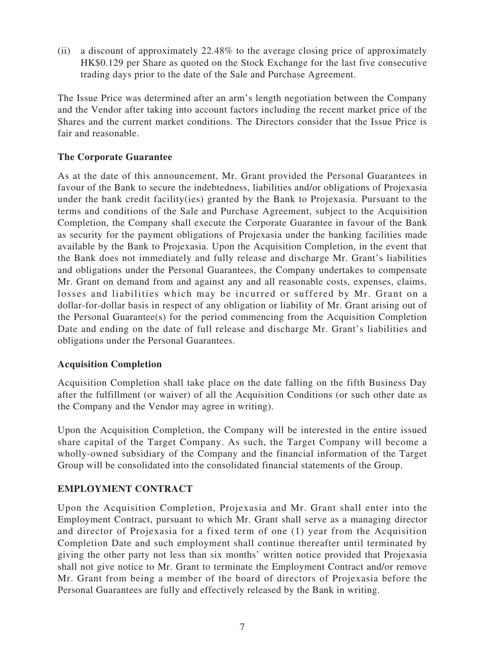(ii) a discount of approximately 22.48% to the average closing price of approximately HK\$0.129 per Share as quoted on the Stock Exchange for the last five consecutive trading days prior to the date of the Sale and Purchase Agreement.

The Issue Price was determined after an arm's length negotiation between the Company and the Vendor after taking into account factors including the recent market price of the Shares and the current market conditions. The Directors consider that the Issue Price is fair and reasonable.

## **The Corporate Guarantee**

As at the date of this announcement, Mr. Grant provided the Personal Guarantees in favour of the Bank to secure the indebtedness, liabilities and/or obligations of Projexasia under the bank credit facility(ies) granted by the Bank to Projexasia. Pursuant to the terms and conditions of the Sale and Purchase Agreement, subject to the Acquisition Completion, the Company shall execute the Corporate Guarantee in favour of the Bank as security for the payment obligations of Projexasia under the banking facilities made available by the Bank to Projexasia. Upon the Acquisition Completion, in the event that the Bank does not immediately and fully release and discharge Mr. Grant's liabilities and obligations under the Personal Guarantees, the Company undertakes to compensate Mr. Grant on demand from and against any and all reasonable costs, expenses, claims, losses and liabilities which may be incurred or suffered by Mr. Grant on a dollar-for-dollar basis in respect of any obligation or liability of Mr. Grant arising out of the Personal Guarantee(s) for the period commencing from the Acquisition Completion Date and ending on the date of full release and discharge Mr. Grant's liabilities and obligations under the Personal Guarantees.

## **Acquisition Completion**

Acquisition Completion shall take place on the date falling on the fifth Business Day after the fulfillment (or waiver) of all the Acquisition Conditions (or such other date as the Company and the Vendor may agree in writing).

Upon the Acquisition Completion, the Company will be interested in the entire issued share capital of the Target Company. As such, the Target Company will become a wholly-owned subsidiary of the Company and the financial information of the Target Group will be consolidated into the consolidated financial statements of the Group.

## **EMPLOYMENT CONTRACT**

Upon the Acquisition Completion, Projexasia and Mr. Grant shall enter into the Employment Contract, pursuant to which Mr. Grant shall serve as a managing director and director of Projexasia for a fixed term of one (1) year from the Acquisition Completion Date and such employment shall continue thereafter until terminated by giving the other party not less than six months' written notice provided that Projexasia shall not give notice to Mr. Grant to terminate the Employment Contract and/or remove Mr. Grant from being a member of the board of directors of Projexasia before the Personal Guarantees are fully and effectively released by the Bank in writing.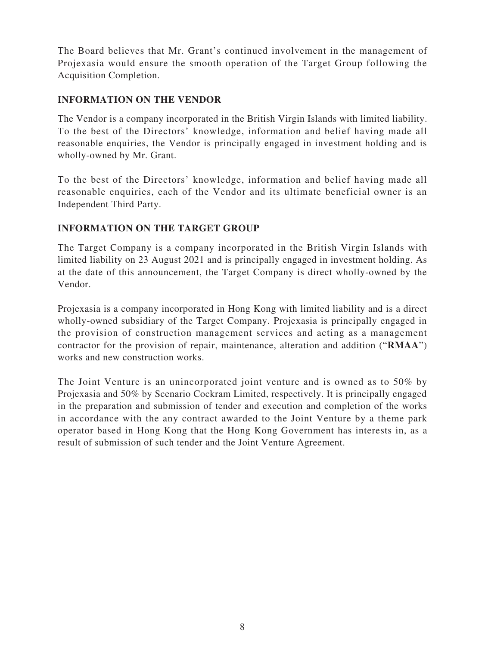The Board believes that Mr. Grant's continued involvement in the management of Projexasia would ensure the smooth operation of the Target Group following the Acquisition Completion.

## **INFORMATION ON THE VENDOR**

The Vendor is a company incorporated in the British Virgin Islands with limited liability. To the best of the Directors' knowledge, information and belief having made all reasonable enquiries, the Vendor is principally engaged in investment holding and is wholly-owned by Mr. Grant.

To the best of the Directors' knowledge, information and belief having made all reasonable enquiries, each of the Vendor and its ultimate beneficial owner is an Independent Third Party.

## **INFORMATION ON THE TARGET GROUP**

The Target Company is a company incorporated in the British Virgin Islands with limited liability on 23 August 2021 and is principally engaged in investment holding. As at the date of this announcement, the Target Company is direct wholly-owned by the Vendor.

Projexasia is a company incorporated in Hong Kong with limited liability and is a direct wholly-owned subsidiary of the Target Company. Projexasia is principally engaged in the provision of construction management services and acting as a management contractor for the provision of repair, maintenance, alteration and addition ("**RMAA**") works and new construction works.

The Joint Venture is an unincorporated joint venture and is owned as to 50% by Projexasia and 50% by Scenario Cockram Limited, respectively. It is principally engaged in the preparation and submission of tender and execution and completion of the works in accordance with the any contract awarded to the Joint Venture by a theme park operator based in Hong Kong that the Hong Kong Government has interests in, as a result of submission of such tender and the Joint Venture Agreement.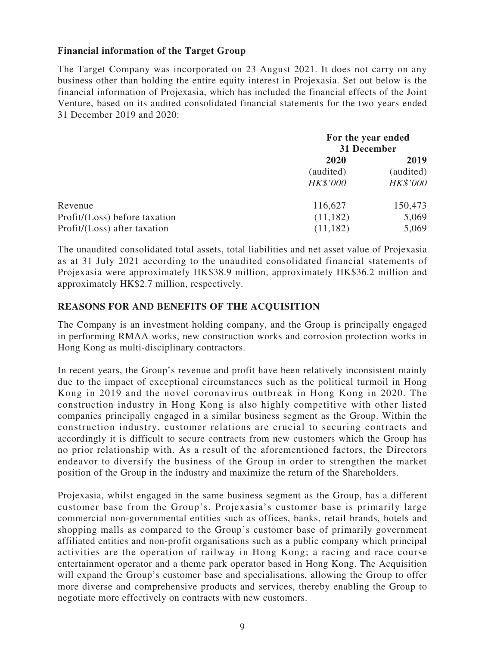#### **Financial information of the Target Group**

The Target Company was incorporated on 23 August 2021. It does not carry on any business other than holding the entire equity interest in Projexasia. Set out below is the financial information of Projexasia, which has included the financial effects of the Joint Venture, based on its audited consolidated financial statements for the two years ended 31 December 2019 and 2020:

|                               | For the year ended<br>31 December |           |
|-------------------------------|-----------------------------------|-----------|
|                               | 2020                              | 2019      |
|                               | (audited)                         | (audited) |
|                               | HK\$'000                          | HK\$'000  |
| Revenue                       | 116,627                           | 150,473   |
| Profit/(Loss) before taxation | (11, 182)                         | 5,069     |
| Profit/(Loss) after taxation  | (11, 182)                         | 5,069     |

The unaudited consolidated total assets, total liabilities and net asset value of Projexasia as at 31 July 2021 according to the unaudited consolidated financial statements of Projexasia were approximately HK\$38.9 million, approximately HK\$36.2 million and approximately HK\$2.7 million, respectively.

#### **REASONS FOR AND BENEFITS OF THE ACQUISITION**

The Company is an investment holding company, and the Group is principally engaged in performing RMAA works, new construction works and corrosion protection works in Hong Kong as multi-disciplinary contractors.

In recent years, the Group's revenue and profit have been relatively inconsistent mainly due to the impact of exceptional circumstances such as the political turmoil in Hong Kong in 2019 and the novel coronavirus outbreak in Hong Kong in 2020. The construction industry in Hong Kong is also highly competitive with other listed companies principally engaged in a similar business segment as the Group. Within the construction industry, customer relations are crucial to securing contracts and accordingly it is difficult to secure contracts from new customers which the Group has no prior relationship with. As a result of the aforementioned factors, the Directors endeavor to diversify the business of the Group in order to strengthen the market position of the Group in the industry and maximize the return of the Shareholders.

Projexasia, whilst engaged in the same business segment as the Group, has a different customer base from the Group's. Projexasia's customer base is primarily large commercial non-governmental entities such as offices, banks, retail brands, hotels and shopping malls as compared to the Group's customer base of primarily government affiliated entities and non-profit organisations such as a public company which principal activities are the operation of railway in Hong Kong; a racing and race course entertainment operator and a theme park operator based in Hong Kong. The Acquisition will expand the Group's customer base and specialisations, allowing the Group to offer more diverse and comprehensive products and services, thereby enabling the Group to negotiate more effectively on contracts with new customers.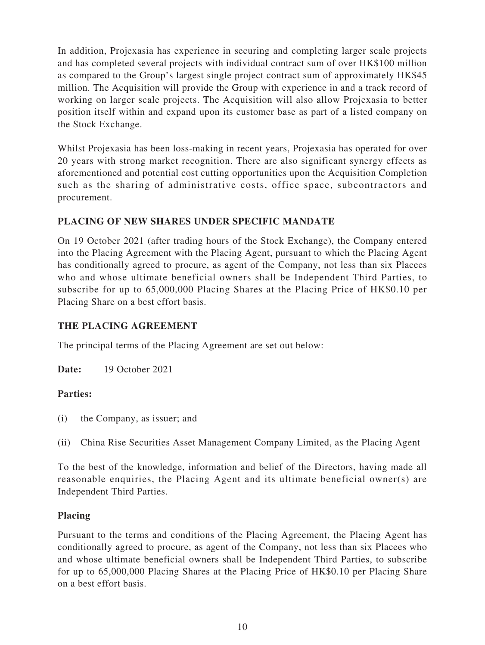In addition, Projexasia has experience in securing and completing larger scale projects and has completed several projects with individual contract sum of over HK\$100 million as compared to the Group's largest single project contract sum of approximately HK\$45 million. The Acquisition will provide the Group with experience in and a track record of working on larger scale projects. The Acquisition will also allow Projexasia to better position itself within and expand upon its customer base as part of a listed company on the Stock Exchange.

Whilst Projexasia has been loss-making in recent years, Projexasia has operated for over 20 years with strong market recognition. There are also significant synergy effects as aforementioned and potential cost cutting opportunities upon the Acquisition Completion such as the sharing of administrative costs, office space, subcontractors and procurement.

## **PLACING OF NEW SHARES UNDER SPECIFIC MANDATE**

On 19 October 2021 (after trading hours of the Stock Exchange), the Company entered into the Placing Agreement with the Placing Agent, pursuant to which the Placing Agent has conditionally agreed to procure, as agent of the Company, not less than six Placees who and whose ultimate beneficial owners shall be Independent Third Parties, to subscribe for up to 65,000,000 Placing Shares at the Placing Price of HK\$0.10 per Placing Share on a best effort basis.

## **THE PLACING AGREEMENT**

The principal terms of the Placing Agreement are set out below:

**Date:** 19 October 2021

## **Parties:**

- (i) the Company, as issuer; and
- (ii) China Rise Securities Asset Management Company Limited, as the Placing Agent

To the best of the knowledge, information and belief of the Directors, having made all reasonable enquiries, the Placing Agent and its ultimate beneficial owner(s) are Independent Third Parties.

## **Placing**

Pursuant to the terms and conditions of the Placing Agreement, the Placing Agent has conditionally agreed to procure, as agent of the Company, not less than six Placees who and whose ultimate beneficial owners shall be Independent Third Parties, to subscribe for up to 65,000,000 Placing Shares at the Placing Price of HK\$0.10 per Placing Share on a best effort basis.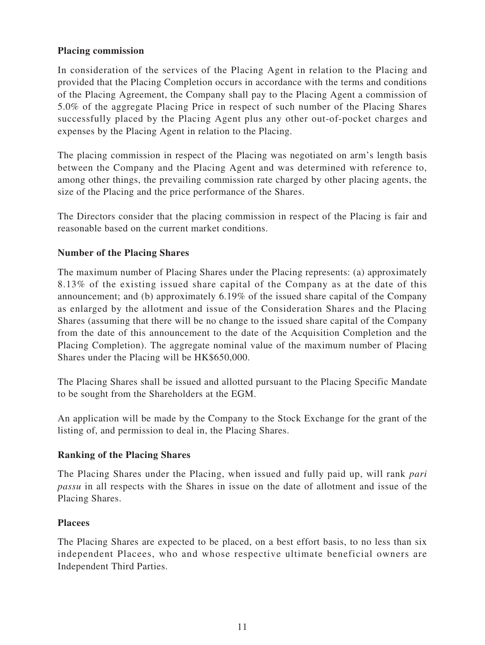#### **Placing commission**

In consideration of the services of the Placing Agent in relation to the Placing and provided that the Placing Completion occurs in accordance with the terms and conditions of the Placing Agreement, the Company shall pay to the Placing Agent a commission of 5.0% of the aggregate Placing Price in respect of such number of the Placing Shares successfully placed by the Placing Agent plus any other out-of-pocket charges and expenses by the Placing Agent in relation to the Placing.

The placing commission in respect of the Placing was negotiated on arm's length basis between the Company and the Placing Agent and was determined with reference to, among other things, the prevailing commission rate charged by other placing agents, the size of the Placing and the price performance of the Shares.

The Directors consider that the placing commission in respect of the Placing is fair and reasonable based on the current market conditions.

## **Number of the Placing Shares**

The maximum number of Placing Shares under the Placing represents: (a) approximately 8.13% of the existing issued share capital of the Company as at the date of this announcement; and (b) approximately 6.19% of the issued share capital of the Company as enlarged by the allotment and issue of the Consideration Shares and the Placing Shares (assuming that there will be no change to the issued share capital of the Company from the date of this announcement to the date of the Acquisition Completion and the Placing Completion). The aggregate nominal value of the maximum number of Placing Shares under the Placing will be HK\$650,000.

The Placing Shares shall be issued and allotted pursuant to the Placing Specific Mandate to be sought from the Shareholders at the EGM.

An application will be made by the Company to the Stock Exchange for the grant of the listing of, and permission to deal in, the Placing Shares.

## **Ranking of the Placing Shares**

The Placing Shares under the Placing, when issued and fully paid up, will rank *pari passu* in all respects with the Shares in issue on the date of allotment and issue of the Placing Shares.

#### **Placees**

The Placing Shares are expected to be placed, on a best effort basis, to no less than six independent Placees, who and whose respective ultimate beneficial owners are Independent Third Parties.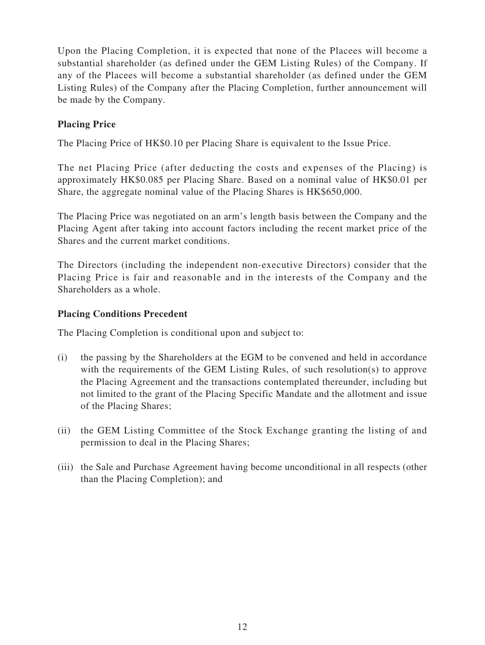Upon the Placing Completion, it is expected that none of the Placees will become a substantial shareholder (as defined under the GEM Listing Rules) of the Company. If any of the Placees will become a substantial shareholder (as defined under the GEM Listing Rules) of the Company after the Placing Completion, further announcement will be made by the Company.

## **Placing Price**

The Placing Price of HK\$0.10 per Placing Share is equivalent to the Issue Price.

The net Placing Price (after deducting the costs and expenses of the Placing) is approximately HK\$0.085 per Placing Share. Based on a nominal value of HK\$0.01 per Share, the aggregate nominal value of the Placing Shares is HK\$650,000.

The Placing Price was negotiated on an arm's length basis between the Company and the Placing Agent after taking into account factors including the recent market price of the Shares and the current market conditions.

The Directors (including the independent non-executive Directors) consider that the Placing Price is fair and reasonable and in the interests of the Company and the Shareholders as a whole.

#### **Placing Conditions Precedent**

The Placing Completion is conditional upon and subject to:

- (i) the passing by the Shareholders at the EGM to be convened and held in accordance with the requirements of the GEM Listing Rules, of such resolution(s) to approve the Placing Agreement and the transactions contemplated thereunder, including but not limited to the grant of the Placing Specific Mandate and the allotment and issue of the Placing Shares;
- (ii) the GEM Listing Committee of the Stock Exchange granting the listing of and permission to deal in the Placing Shares;
- (iii) the Sale and Purchase Agreement having become unconditional in all respects (other than the Placing Completion); and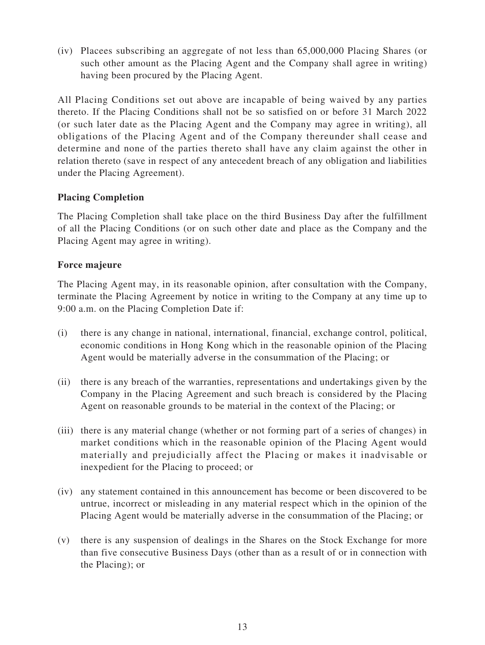(iv) Placees subscribing an aggregate of not less than 65,000,000 Placing Shares (or such other amount as the Placing Agent and the Company shall agree in writing) having been procured by the Placing Agent.

All Placing Conditions set out above are incapable of being waived by any parties thereto. If the Placing Conditions shall not be so satisfied on or before 31 March 2022 (or such later date as the Placing Agent and the Company may agree in writing), all obligations of the Placing Agent and of the Company thereunder shall cease and determine and none of the parties thereto shall have any claim against the other in relation thereto (save in respect of any antecedent breach of any obligation and liabilities under the Placing Agreement).

## **Placing Completion**

The Placing Completion shall take place on the third Business Day after the fulfillment of all the Placing Conditions (or on such other date and place as the Company and the Placing Agent may agree in writing).

#### **Force majeure**

The Placing Agent may, in its reasonable opinion, after consultation with the Company, terminate the Placing Agreement by notice in writing to the Company at any time up to 9:00 a.m. on the Placing Completion Date if:

- (i) there is any change in national, international, financial, exchange control, political, economic conditions in Hong Kong which in the reasonable opinion of the Placing Agent would be materially adverse in the consummation of the Placing; or
- (ii) there is any breach of the warranties, representations and undertakings given by the Company in the Placing Agreement and such breach is considered by the Placing Agent on reasonable grounds to be material in the context of the Placing; or
- (iii) there is any material change (whether or not forming part of a series of changes) in market conditions which in the reasonable opinion of the Placing Agent would materially and prejudicially affect the Placing or makes it inadvisable or inexpedient for the Placing to proceed; or
- (iv) any statement contained in this announcement has become or been discovered to be untrue, incorrect or misleading in any material respect which in the opinion of the Placing Agent would be materially adverse in the consummation of the Placing; or
- (v) there is any suspension of dealings in the Shares on the Stock Exchange for more than five consecutive Business Days (other than as a result of or in connection with the Placing); or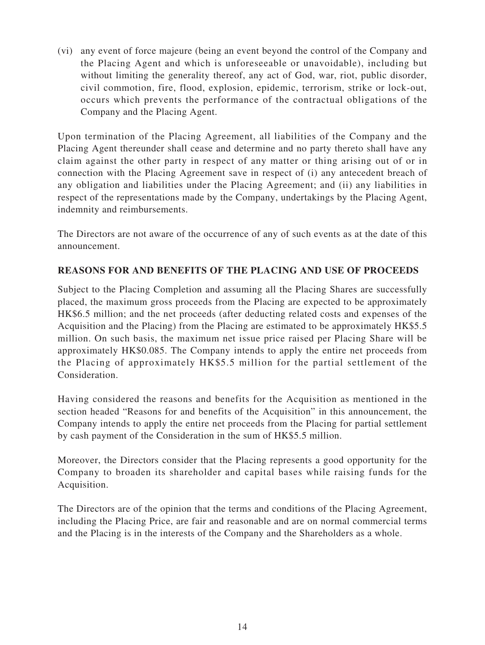(vi) any event of force majeure (being an event beyond the control of the Company and the Placing Agent and which is unforeseeable or unavoidable), including but without limiting the generality thereof, any act of God, war, riot, public disorder, civil commotion, fire, flood, explosion, epidemic, terrorism, strike or lock-out, occurs which prevents the performance of the contractual obligations of the Company and the Placing Agent.

Upon termination of the Placing Agreement, all liabilities of the Company and the Placing Agent thereunder shall cease and determine and no party thereto shall have any claim against the other party in respect of any matter or thing arising out of or in connection with the Placing Agreement save in respect of (i) any antecedent breach of any obligation and liabilities under the Placing Agreement; and (ii) any liabilities in respect of the representations made by the Company, undertakings by the Placing Agent, indemnity and reimbursements.

The Directors are not aware of the occurrence of any of such events as at the date of this announcement.

## **REASONS FOR AND BENEFITS OF THE PLACING AND USE OF PROCEEDS**

Subject to the Placing Completion and assuming all the Placing Shares are successfully placed, the maximum gross proceeds from the Placing are expected to be approximately HK\$6.5 million; and the net proceeds (after deducting related costs and expenses of the Acquisition and the Placing) from the Placing are estimated to be approximately HK\$5.5 million. On such basis, the maximum net issue price raised per Placing Share will be approximately HK\$0.085. The Company intends to apply the entire net proceeds from the Placing of approximately HK\$5.5 million for the partial settlement of the Consideration.

Having considered the reasons and benefits for the Acquisition as mentioned in the section headed "Reasons for and benefits of the Acquisition" in this announcement, the Company intends to apply the entire net proceeds from the Placing for partial settlement by cash payment of the Consideration in the sum of HK\$5.5 million.

Moreover, the Directors consider that the Placing represents a good opportunity for the Company to broaden its shareholder and capital bases while raising funds for the Acquisition.

The Directors are of the opinion that the terms and conditions of the Placing Agreement, including the Placing Price, are fair and reasonable and are on normal commercial terms and the Placing is in the interests of the Company and the Shareholders as a whole.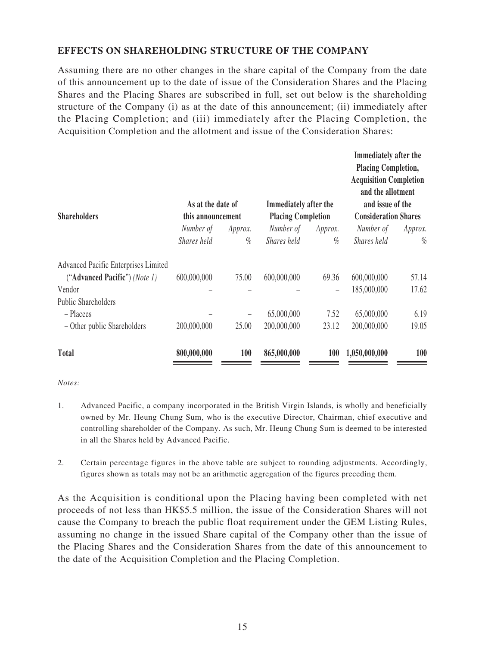## **EFFECTS ON SHAREHOLDING STRUCTURE OF THE COMPANY**

Assuming there are no other changes in the share capital of the Company from the date of this announcement up to the date of issue of the Consideration Shares and the Placing Shares and the Placing Shares are subscribed in full, set out below is the shareholding structure of the Company (i) as at the date of this announcement; (ii) immediately after the Placing Completion; and (iii) immediately after the Placing Completion, the Acquisition Completion and the allotment and issue of the Consideration Shares:

| <b>Shareholders</b>                  | As at the date of<br>this announcement |         | Immediately after the<br><b>Placing Completion</b> |                          | Immediately after the<br><b>Placing Completion,</b><br><b>Acquisition Completion</b><br>and the allotment<br>and issue of the<br><b>Consideration Shares</b> |         |
|--------------------------------------|----------------------------------------|---------|----------------------------------------------------|--------------------------|--------------------------------------------------------------------------------------------------------------------------------------------------------------|---------|
|                                      | Number of                              | Approx. | Number of                                          | Approx.                  | Number of                                                                                                                                                    | Approx. |
|                                      | Shares held                            | $\%$    | Shares held                                        | $\%$                     | Shares held                                                                                                                                                  | $\%$    |
| Advanced Pacific Enterprises Limited |                                        |         |                                                    |                          |                                                                                                                                                              |         |
| ("Advanced Pacific") (Note 1)        | 600,000,000                            | 75.00   | 600,000,000                                        | 69.36                    | 600,000,000                                                                                                                                                  | 57.14   |
| Vendor                               |                                        |         |                                                    | $\overline{\phantom{0}}$ | 185,000,000                                                                                                                                                  | 17.62   |
| <b>Public Shareholders</b>           |                                        |         |                                                    |                          |                                                                                                                                                              |         |
| - Placees                            |                                        |         | 65,000,000                                         | 7.52                     | 65,000,000                                                                                                                                                   | 6.19    |
| - Other public Shareholders          | 200,000,000                            | 25.00   | 200,000,000                                        | 23.12                    | 200,000,000                                                                                                                                                  | 19.05   |
| <b>Total</b>                         | 800,000,000                            | 100     | 865,000,000                                        | <b>100</b>               | 1,050,000,000                                                                                                                                                | 100     |

*Notes:*

- 1. Advanced Pacific, a company incorporated in the British Virgin Islands, is wholly and beneficially owned by Mr. Heung Chung Sum, who is the executive Director, Chairman, chief executive and controlling shareholder of the Company. As such, Mr. Heung Chung Sum is deemed to be interested in all the Shares held by Advanced Pacific.
- 2. Certain percentage figures in the above table are subject to rounding adjustments. Accordingly, figures shown as totals may not be an arithmetic aggregation of the figures preceding them.

As the Acquisition is conditional upon the Placing having been completed with net proceeds of not less than HK\$5.5 million, the issue of the Consideration Shares will not cause the Company to breach the public float requirement under the GEM Listing Rules, assuming no change in the issued Share capital of the Company other than the issue of the Placing Shares and the Consideration Shares from the date of this announcement to the date of the Acquisition Completion and the Placing Completion.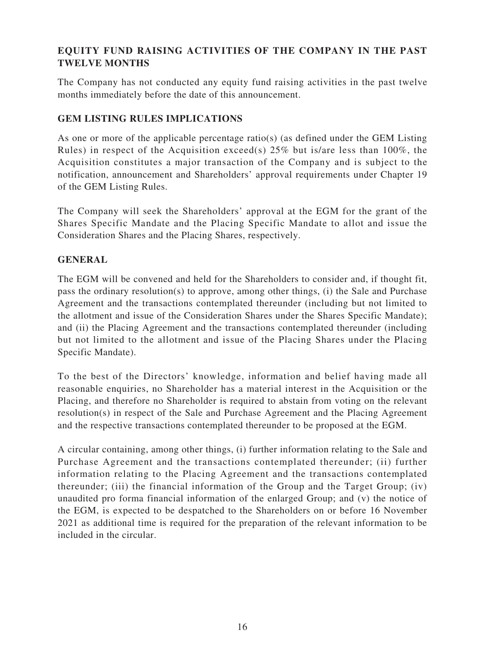## **EQUITY FUND RAISING ACTIVITIES OF THE COMPANY IN THE PAST TWELVE MONTHS**

The Company has not conducted any equity fund raising activities in the past twelve months immediately before the date of this announcement.

## **GEM LISTING RULES IMPLICATIONS**

As one or more of the applicable percentage ratio(s) (as defined under the GEM Listing Rules) in respect of the Acquisition exceed(s) 25% but is/are less than 100%, the Acquisition constitutes a major transaction of the Company and is subject to the notification, announcement and Shareholders' approval requirements under Chapter 19 of the GEM Listing Rules.

The Company will seek the Shareholders' approval at the EGM for the grant of the Shares Specific Mandate and the Placing Specific Mandate to allot and issue the Consideration Shares and the Placing Shares, respectively.

## **GENERAL**

The EGM will be convened and held for the Shareholders to consider and, if thought fit, pass the ordinary resolution(s) to approve, among other things, (i) the Sale and Purchase Agreement and the transactions contemplated thereunder (including but not limited to the allotment and issue of the Consideration Shares under the Shares Specific Mandate); and (ii) the Placing Agreement and the transactions contemplated thereunder (including but not limited to the allotment and issue of the Placing Shares under the Placing Specific Mandate).

To the best of the Directors' knowledge, information and belief having made all reasonable enquiries, no Shareholder has a material interest in the Acquisition or the Placing, and therefore no Shareholder is required to abstain from voting on the relevant resolution(s) in respect of the Sale and Purchase Agreement and the Placing Agreement and the respective transactions contemplated thereunder to be proposed at the EGM.

A circular containing, among other things, (i) further information relating to the Sale and Purchase Agreement and the transactions contemplated thereunder; (ii) further information relating to the Placing Agreement and the transactions contemplated thereunder; (iii) the financial information of the Group and the Target Group; (iv) unaudited pro forma financial information of the enlarged Group; and (v) the notice of the EGM, is expected to be despatched to the Shareholders on or before 16 November 2021 as additional time is required for the preparation of the relevant information to be included in the circular.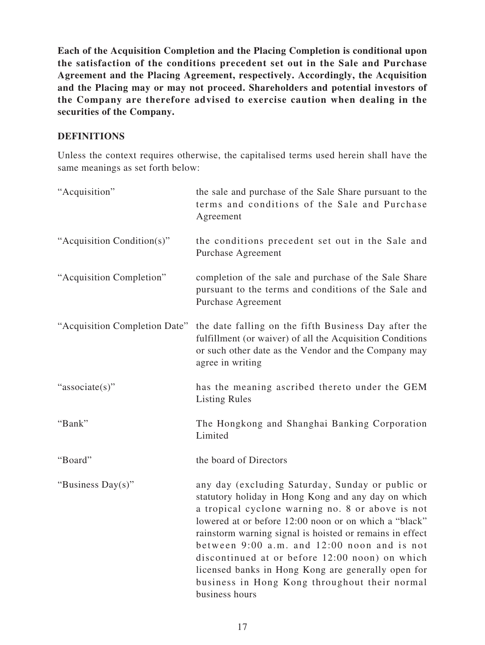**Each of the Acquisition Completion and the Placing Completion is conditional upon the satisfaction of the conditions precedent set out in the Sale and Purchase Agreement and the Placing Agreement, respectively. Accordingly, the Acquisition and the Placing may or may not proceed. Shareholders and potential investors of the Company are therefore advised to exercise caution when dealing in the securities of the Company.**

#### **DEFINITIONS**

Unless the context requires otherwise, the capitalised terms used herein shall have the same meanings as set forth below:

| "Acquisition"                 | the sale and purchase of the Sale Share pursuant to the<br>terms and conditions of the Sale and Purchase<br>Agreement                                                                                                                                                                                                                                                                                                                                                                                      |
|-------------------------------|------------------------------------------------------------------------------------------------------------------------------------------------------------------------------------------------------------------------------------------------------------------------------------------------------------------------------------------------------------------------------------------------------------------------------------------------------------------------------------------------------------|
| "Acquisition Condition(s)"    | the conditions precedent set out in the Sale and<br>Purchase Agreement                                                                                                                                                                                                                                                                                                                                                                                                                                     |
| "Acquisition Completion"      | completion of the sale and purchase of the Sale Share<br>pursuant to the terms and conditions of the Sale and<br>Purchase Agreement                                                                                                                                                                                                                                                                                                                                                                        |
| "Acquisition Completion Date" | the date falling on the fifth Business Day after the<br>fulfillment (or waiver) of all the Acquisition Conditions<br>or such other date as the Vendor and the Company may<br>agree in writing                                                                                                                                                                                                                                                                                                              |
| "associate(s)"                | has the meaning ascribed thereto under the GEM<br><b>Listing Rules</b>                                                                                                                                                                                                                                                                                                                                                                                                                                     |
| "Bank"                        | The Hongkong and Shanghai Banking Corporation<br>Limited                                                                                                                                                                                                                                                                                                                                                                                                                                                   |
| "Board"                       | the board of Directors                                                                                                                                                                                                                                                                                                                                                                                                                                                                                     |
| "Business Day(s)"             | any day (excluding Saturday, Sunday or public or<br>statutory holiday in Hong Kong and any day on which<br>a tropical cyclone warning no. 8 or above is not<br>lowered at or before 12:00 noon or on which a "black"<br>rainstorm warning signal is hoisted or remains in effect<br>between 9:00 a.m. and 12:00 noon and is not<br>discontinued at or before 12:00 noon) on which<br>licensed banks in Hong Kong are generally open for<br>business in Hong Kong throughout their normal<br>business hours |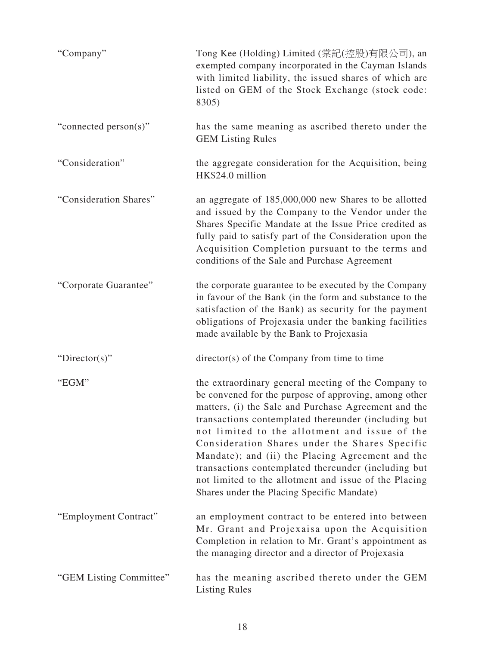| "Company"               | Tong Kee (Holding) Limited (棠記(控股)有限公司), an<br>exempted company incorporated in the Cayman Islands<br>with limited liability, the issued shares of which are<br>listed on GEM of the Stock Exchange (stock code:<br>8305)                                                                                                                                                                                                                                                                                                                        |
|-------------------------|--------------------------------------------------------------------------------------------------------------------------------------------------------------------------------------------------------------------------------------------------------------------------------------------------------------------------------------------------------------------------------------------------------------------------------------------------------------------------------------------------------------------------------------------------|
| "connected person(s)"   | has the same meaning as ascribed thereto under the<br><b>GEM Listing Rules</b>                                                                                                                                                                                                                                                                                                                                                                                                                                                                   |
| "Consideration"         | the aggregate consideration for the Acquisition, being<br>HK\$24.0 million                                                                                                                                                                                                                                                                                                                                                                                                                                                                       |
| "Consideration Shares"  | an aggregate of 185,000,000 new Shares to be allotted<br>and issued by the Company to the Vendor under the<br>Shares Specific Mandate at the Issue Price credited as<br>fully paid to satisfy part of the Consideration upon the<br>Acquisition Completion pursuant to the terms and<br>conditions of the Sale and Purchase Agreement                                                                                                                                                                                                            |
| "Corporate Guarantee"   | the corporate guarantee to be executed by the Company<br>in favour of the Bank (in the form and substance to the<br>satisfaction of the Bank) as security for the payment<br>obligations of Projexasia under the banking facilities<br>made available by the Bank to Projexasia                                                                                                                                                                                                                                                                  |
| "Director(s)"           | $\text{directory}(s)$ of the Company from time to time                                                                                                                                                                                                                                                                                                                                                                                                                                                                                           |
| "EGM"                   | the extraordinary general meeting of the Company to<br>be convened for the purpose of approving, among other<br>matters, (i) the Sale and Purchase Agreement and the<br>transactions contemplated thereunder (including but<br>not limited to the allotment and issue of the<br>Consideration Shares under the Shares Specific<br>Mandate); and (ii) the Placing Agreement and the<br>transactions contemplated thereunder (including but<br>not limited to the allotment and issue of the Placing<br>Shares under the Placing Specific Mandate) |
| "Employment Contract"   | an employment contract to be entered into between<br>Mr. Grant and Projexaisa upon the Acquisition<br>Completion in relation to Mr. Grant's appointment as<br>the managing director and a director of Projexasia                                                                                                                                                                                                                                                                                                                                 |
| "GEM Listing Committee" | has the meaning ascribed thereto under the GEM<br><b>Listing Rules</b>                                                                                                                                                                                                                                                                                                                                                                                                                                                                           |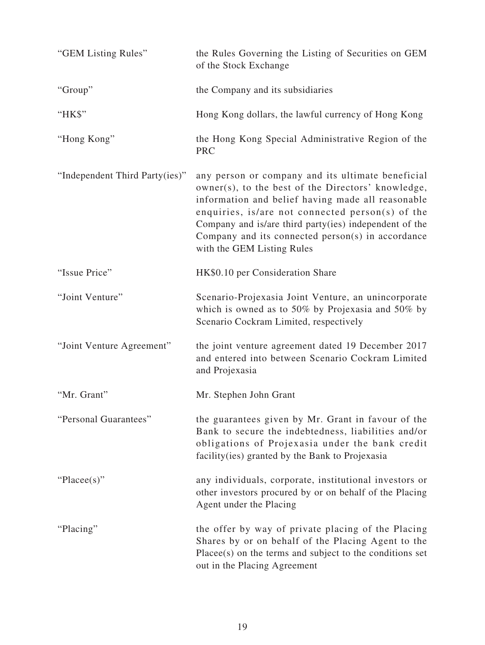| "GEM Listing Rules"            | the Rules Governing the Listing of Securities on GEM<br>of the Stock Exchange                                                                                                                                                                                                                                                                                   |
|--------------------------------|-----------------------------------------------------------------------------------------------------------------------------------------------------------------------------------------------------------------------------------------------------------------------------------------------------------------------------------------------------------------|
| "Group"                        | the Company and its subsidiaries                                                                                                                                                                                                                                                                                                                                |
| "HK\$"                         | Hong Kong dollars, the lawful currency of Hong Kong                                                                                                                                                                                                                                                                                                             |
| "Hong Kong"                    | the Hong Kong Special Administrative Region of the<br><b>PRC</b>                                                                                                                                                                                                                                                                                                |
| "Independent Third Party(ies)" | any person or company and its ultimate beneficial<br>owner(s), to the best of the Directors' knowledge,<br>information and belief having made all reasonable<br>enquiries, is/are not connected person(s) of the<br>Company and is/are third party(ies) independent of the<br>Company and its connected $person(s)$ in accordance<br>with the GEM Listing Rules |
| "Issue Price"                  | HK\$0.10 per Consideration Share                                                                                                                                                                                                                                                                                                                                |
| "Joint Venture"                | Scenario-Projexasia Joint Venture, an unincorporate<br>which is owned as to 50% by Projexasia and 50% by<br>Scenario Cockram Limited, respectively                                                                                                                                                                                                              |
| "Joint Venture Agreement"      | the joint venture agreement dated 19 December 2017<br>and entered into between Scenario Cockram Limited<br>and Projexasia                                                                                                                                                                                                                                       |
| "Mr. Grant"                    | Mr. Stephen John Grant                                                                                                                                                                                                                                                                                                                                          |
| "Personal Guarantees"          | the guarantees given by Mr. Grant in favour of the<br>Bank to secure the indebtedness, liabilities and/or<br>obligations of Projexasia under the bank credit<br>facility (ies) granted by the Bank to Projexasia                                                                                                                                                |
| "Placee(s)"                    | any individuals, corporate, institutional investors or<br>other investors procured by or on behalf of the Placing<br>Agent under the Placing                                                                                                                                                                                                                    |
| "Placing"                      | the offer by way of private placing of the Placing<br>Shares by or on behalf of the Placing Agent to the<br>$Place(s)$ on the terms and subject to the conditions set<br>out in the Placing Agreement                                                                                                                                                           |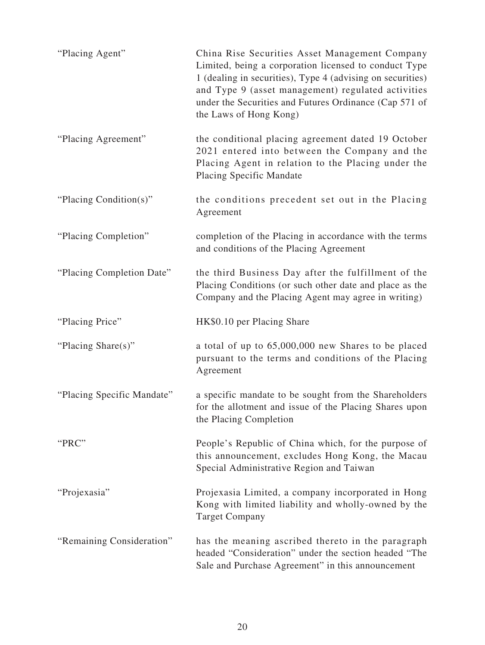| "Placing Agent"            | China Rise Securities Asset Management Company<br>Limited, being a corporation licensed to conduct Type<br>1 (dealing in securities), Type 4 (advising on securities)<br>and Type 9 (asset management) regulated activities<br>under the Securities and Futures Ordinance (Cap 571 of<br>the Laws of Hong Kong) |
|----------------------------|-----------------------------------------------------------------------------------------------------------------------------------------------------------------------------------------------------------------------------------------------------------------------------------------------------------------|
| "Placing Agreement"        | the conditional placing agreement dated 19 October<br>2021 entered into between the Company and the<br>Placing Agent in relation to the Placing under the<br>Placing Specific Mandate                                                                                                                           |
| "Placing Condition(s)"     | the conditions precedent set out in the Placing<br>Agreement                                                                                                                                                                                                                                                    |
| "Placing Completion"       | completion of the Placing in accordance with the terms<br>and conditions of the Placing Agreement                                                                                                                                                                                                               |
| "Placing Completion Date"  | the third Business Day after the fulfillment of the<br>Placing Conditions (or such other date and place as the<br>Company and the Placing Agent may agree in writing)                                                                                                                                           |
| "Placing Price"            | HK\$0.10 per Placing Share                                                                                                                                                                                                                                                                                      |
| "Placing Share(s)"         | a total of up to 65,000,000 new Shares to be placed<br>pursuant to the terms and conditions of the Placing<br>Agreement                                                                                                                                                                                         |
| "Placing Specific Mandate" | a specific mandate to be sought from the Shareholders<br>for the allotment and issue of the Placing Shares upon<br>the Placing Completion                                                                                                                                                                       |
| "PRC"                      | People's Republic of China which, for the purpose of<br>this announcement, excludes Hong Kong, the Macau<br>Special Administrative Region and Taiwan                                                                                                                                                            |
| "Projexasia"               | Projexasia Limited, a company incorporated in Hong<br>Kong with limited liability and wholly-owned by the<br><b>Target Company</b>                                                                                                                                                                              |
| "Remaining Consideration"  | has the meaning ascribed thereto in the paragraph<br>headed "Consideration" under the section headed "The<br>Sale and Purchase Agreement" in this announcement                                                                                                                                                  |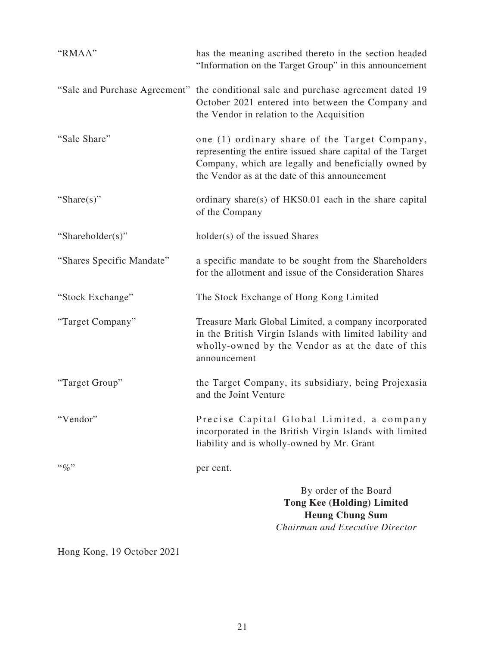| "RMAA"                    | has the meaning ascribed thereto in the section headed<br>"Information on the Target Group" in this announcement                                                                                                      |
|---------------------------|-----------------------------------------------------------------------------------------------------------------------------------------------------------------------------------------------------------------------|
|                           | "Sale and Purchase Agreement" the conditional sale and purchase agreement dated 19<br>October 2021 entered into between the Company and<br>the Vendor in relation to the Acquisition                                  |
| "Sale Share"              | one (1) ordinary share of the Target Company,<br>representing the entire issued share capital of the Target<br>Company, which are legally and beneficially owned by<br>the Vendor as at the date of this announcement |
| "Share $(s)$ "            | ordinary share(s) of HK\$0.01 each in the share capital<br>of the Company                                                                                                                                             |
| "Shareholder(s)"          | holder(s) of the issued Shares                                                                                                                                                                                        |
| "Shares Specific Mandate" | a specific mandate to be sought from the Shareholders<br>for the allotment and issue of the Consideration Shares                                                                                                      |
| "Stock Exchange"          | The Stock Exchange of Hong Kong Limited                                                                                                                                                                               |
| "Target Company"          | Treasure Mark Global Limited, a company incorporated<br>in the British Virgin Islands with limited lability and<br>wholly-owned by the Vendor as at the date of this<br>announcement                                  |
| "Target Group"            | the Target Company, its subsidiary, being Projexasia<br>and the Joint Venture                                                                                                                                         |
| "Vendor"                  | Precise Capital Global Limited, a company<br>incorporated in the British Virgin Islands with limited<br>liability and is wholly-owned by Mr. Grant                                                                    |
| $``\%"$                   | per cent.                                                                                                                                                                                                             |
|                           | By order of the Board<br><b>Tong Kee (Holding) Limited</b><br><b>Heung Chung Sum</b><br>Chairman and Executive Director                                                                                               |

Hong Kong, 19 October 2021